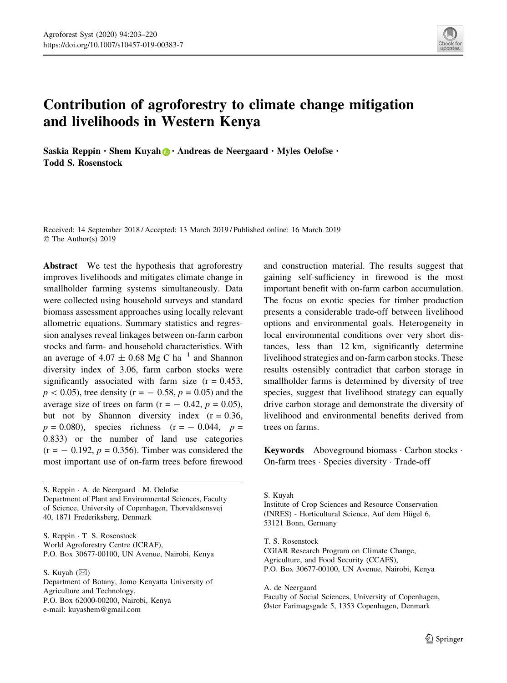

Saskia Reppin  $\cdot$  Shem Kuyah  $\circledcirc$   $\cdot$  Andreas de Neergaard  $\cdot$  Myles Oelofse  $\cdot$ Todd S. Rosenstock

Received: 14 September 2018 / Accepted: 13 March 2019 / Published online: 16 March 2019 © The Author(s) 2019

Abstract We test the hypothesis that agroforestry improves livelihoods and mitigates climate change in smallholder farming systems simultaneously. Data were collected using household surveys and standard biomass assessment approaches using locally relevant allometric equations. Summary statistics and regression analyses reveal linkages between on-farm carbon stocks and farm- and household characteristics. With an average of 4.07  $\pm$  0.68 Mg C ha<sup>-1</sup> and Shannon diversity index of 3.06, farm carbon stocks were significantly associated with farm size  $(r = 0.453)$ ,  $p < 0.05$ ), tree density (r = - 0.58, p = 0.05) and the average size of trees on farm  $(r = -0.42, p = 0.05)$ , but not by Shannon diversity index  $(r = 0.36)$ ,  $p = 0.080$ , species richness (r = - 0.044,  $p =$ 0.833) or the number of land use categories  $(r = -0.192, p = 0.356)$ . Timber was considered the most important use of on-farm trees before firewood

S. Reppin - A. de Neergaard - M. Oelofse Department of Plant and Environmental Sciences, Faculty of Science, University of Copenhagen, Thorvaldsensvej 40, 1871 Frederiksberg, Denmark

S. Reppin - T. S. Rosenstock World Agroforestry Centre (ICRAF), P.O. Box 30677-00100, UN Avenue, Nairobi, Kenya

S. Kuyah  $(\boxtimes)$ 

Department of Botany, Jomo Kenyatta University of Agriculture and Technology, P.O. Box 62000-00200, Nairobi, Kenya e-mail: kuyashem@gmail.com

and construction material. The results suggest that gaining self-sufficiency in firewood is the most important benefit with on-farm carbon accumulation. The focus on exotic species for timber production presents a considerable trade-off between livelihood options and environmental goals. Heterogeneity in local environmental conditions over very short distances, less than 12 km, significantly determine livelihood strategies and on-farm carbon stocks. These results ostensibly contradict that carbon storage in smallholder farms is determined by diversity of tree species, suggest that livelihood strategy can equally drive carbon storage and demonstrate the diversity of livelihood and environmental benefits derived from trees on farms.

Keywords Aboveground biomass · Carbon stocks · On-farm trees - Species diversity - Trade-off

S. Kuyah

Institute of Crop Sciences and Resource Conservation (INRES) - Horticultural Science, Auf dem Hügel 6, 53121 Bonn, Germany

T. S. Rosenstock CGIAR Research Program on Climate Change, Agriculture, and Food Security (CCAFS),

P.O. Box 30677-00100, UN Avenue, Nairobi, Kenya

A. de Neergaard Faculty of Social Sciences, University of Copenhagen, Øster Farimagsgade 5, 1353 Copenhagen, Denmark

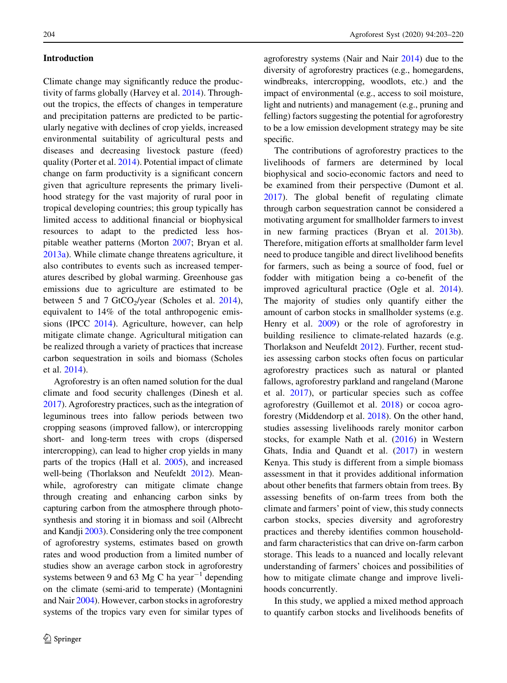# Introduction

Climate change may significantly reduce the productivity of farms globally (Harvey et al. [2014\)](#page-15-0). Throughout the tropics, the effects of changes in temperature and precipitation patterns are predicted to be particularly negative with declines of crop yields, increased environmental suitability of agricultural pests and diseases and decreasing livestock pasture (feed) quality (Porter et al. [2014](#page-16-0)). Potential impact of climate change on farm productivity is a significant concern given that agriculture represents the primary livelihood strategy for the vast majority of rural poor in tropical developing countries; this group typically has limited access to additional financial or biophysical resources to adapt to the predicted less hospitable weather patterns (Morton [2007](#page-16-0); Bryan et al. [2013a](#page-15-0)). While climate change threatens agriculture, it also contributes to events such as increased temperatures described by global warming. Greenhouse gas emissions due to agriculture are estimated to be between 5 and 7 GtCO<sub>2</sub>/year (Scholes et al. [2014](#page-16-0)), equivalent to 14% of the total anthropogenic emissions (IPCC [2014\)](#page-16-0). Agriculture, however, can help mitigate climate change. Agricultural mitigation can be realized through a variety of practices that increase carbon sequestration in soils and biomass (Scholes et al. [2014](#page-16-0)).

Agroforestry is an often named solution for the dual climate and food security challenges (Dinesh et al. [2017](#page-15-0)). Agroforestry practices, such as the integration of leguminous trees into fallow periods between two cropping seasons (improved fallow), or intercropping short- and long-term trees with crops (dispersed intercropping), can lead to higher crop yields in many parts of the tropics (Hall et al. [2005](#page-15-0)), and increased well-being (Thorlakson and Neufeldt [2012\)](#page-17-0). Meanwhile, agroforestry can mitigate climate change through creating and enhancing carbon sinks by capturing carbon from the atmosphere through photosynthesis and storing it in biomass and soil (Albrecht and Kandji [2003](#page-15-0)). Considering only the tree component of agroforestry systems, estimates based on growth rates and wood production from a limited number of studies show an average carbon stock in agroforestry systems between 9 and 63 Mg C ha year<sup>-1</sup> depending on the climate (semi-arid to temperate) (Montagnini and Nair [2004\)](#page-16-0). However, carbon stocks in agroforestry systems of the tropics vary even for similar types of agroforestry systems (Nair and Nair [2014\)](#page-16-0) due to the diversity of agroforestry practices (e.g., homegardens, windbreaks, intercropping, woodlots, etc.) and the impact of environmental (e.g., access to soil moisture, light and nutrients) and management (e.g., pruning and felling) factors suggesting the potential for agroforestry to be a low emission development strategy may be site specific.

The contributions of agroforestry practices to the livelihoods of farmers are determined by local biophysical and socio-economic factors and need to be examined from their perspective (Dumont et al. [2017\)](#page-15-0). The global benefit of regulating climate through carbon sequestration cannot be considered a motivating argument for smallholder farmers to invest in new farming practices (Bryan et al. [2013b](#page-15-0)). Therefore, mitigation efforts at smallholder farm level need to produce tangible and direct livelihood benefits for farmers, such as being a source of food, fuel or fodder with mitigation being a co-benefit of the improved agricultural practice (Ogle et al. [2014](#page-16-0)). The majority of studies only quantify either the amount of carbon stocks in smallholder systems (e.g. Henry et al. [2009](#page-15-0)) or the role of agroforestry in building resilience to climate-related hazards (e.g. Thorlakson and Neufeldt [2012\)](#page-17-0). Further, recent studies assessing carbon stocks often focus on particular agroforestry practices such as natural or planted fallows, agroforestry parkland and rangeland (Marone et al. [2017](#page-16-0)), or particular species such as coffee agroforestry (Guillemot et al. [2018\)](#page-15-0) or cocoa agroforestry (Middendorp et al. [2018\)](#page-16-0). On the other hand, studies assessing livelihoods rarely monitor carbon stocks, for example Nath et al. [\(2016](#page-16-0)) in Western Ghats, India and Quandt et al. [\(2017](#page-16-0)) in western Kenya. This study is different from a simple biomass assessment in that it provides additional information about other benefits that farmers obtain from trees. By assessing benefits of on-farm trees from both the climate and farmers' point of view, this study connects carbon stocks, species diversity and agroforestry practices and thereby identifies common householdand farm characteristics that can drive on-farm carbon storage. This leads to a nuanced and locally relevant understanding of farmers' choices and possibilities of how to mitigate climate change and improve livelihoods concurrently.

In this study, we applied a mixed method approach to quantify carbon stocks and livelihoods benefits of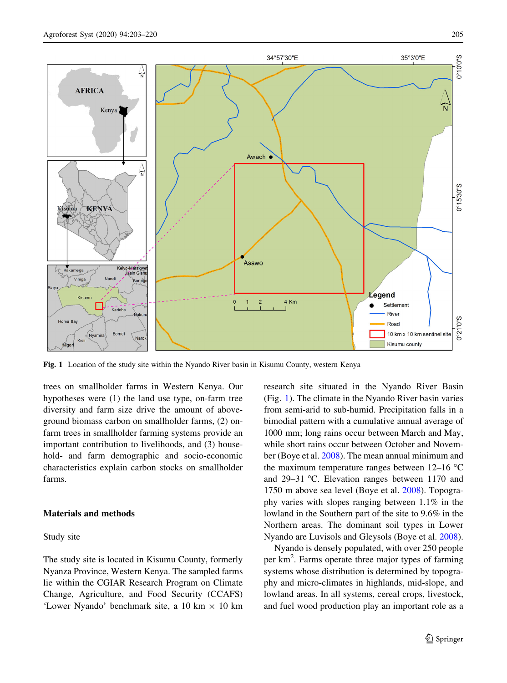

Fig. 1 Location of the study site within the Nyando River basin in Kisumu County, western Kenya

trees on smallholder farms in Western Kenya. Our hypotheses were (1) the land use type, on-farm tree diversity and farm size drive the amount of aboveground biomass carbon on smallholder farms, (2) onfarm trees in smallholder farming systems provide an important contribution to livelihoods, and (3) household- and farm demographic and socio-economic characteristics explain carbon stocks on smallholder farms.

# Materials and methods

## Study site

The study site is located in Kisumu County, formerly Nyanza Province, Western Kenya. The sampled farms lie within the CGIAR Research Program on Climate Change, Agriculture, and Food Security (CCAFS) 'Lower Nyando' benchmark site, a 10 km  $\times$  10 km research site situated in the Nyando River Basin (Fig. 1). The climate in the Nyando River basin varies from semi-arid to sub-humid. Precipitation falls in a bimodial pattern with a cumulative annual average of 1000 mm; long rains occur between March and May, while short rains occur between October and November (Boye et al. [2008](#page-15-0)). The mean annual minimum and the maximum temperature ranges between  $12-16$  °C and 29–31 °C. Elevation ranges between 1170 and 1750 m above sea level (Boye et al. [2008](#page-15-0)). Topography varies with slopes ranging between 1.1% in the lowland in the Southern part of the site to 9.6% in the Northern areas. The dominant soil types in Lower Nyando are Luvisols and Gleysols (Boye et al. [2008](#page-15-0)).

Nyando is densely populated, with over 250 people per km<sup>2</sup>. Farms operate three major types of farming systems whose distribution is determined by topography and micro-climates in highlands, mid-slope, and lowland areas. In all systems, cereal crops, livestock, and fuel wood production play an important role as a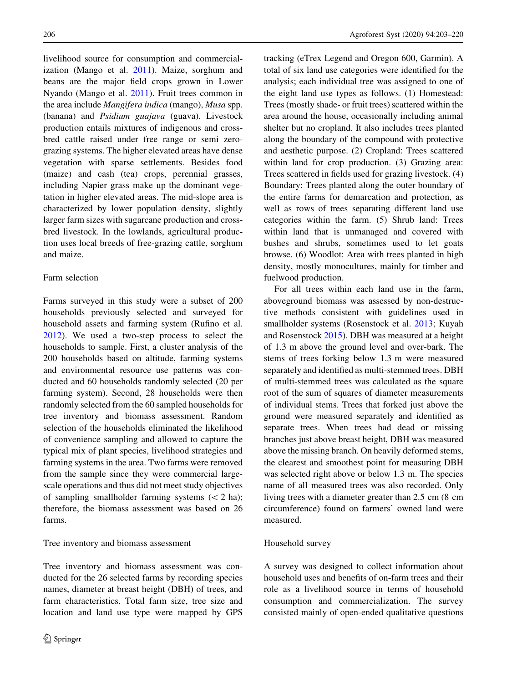livelihood source for consumption and commercialization (Mango et al. [2011\)](#page-16-0). Maize, sorghum and beans are the major field crops grown in Lower Nyando (Mango et al. [2011](#page-16-0)). Fruit trees common in the area include Mangifera indica (mango), Musa spp. (banana) and Psidium guajava (guava). Livestock production entails mixtures of indigenous and crossbred cattle raised under free range or semi zerograzing systems. The higher elevated areas have dense vegetation with sparse settlements. Besides food (maize) and cash (tea) crops, perennial grasses, including Napier grass make up the dominant vegetation in higher elevated areas. The mid-slope area is characterized by lower population density, slightly larger farm sizes with sugarcane production and crossbred livestock. In the lowlands, agricultural production uses local breeds of free-grazing cattle, sorghum and maize.

# Farm selection

Farms surveyed in this study were a subset of 200 households previously selected and surveyed for household assets and farming system (Rufino et al. [2012\)](#page-16-0). We used a two-step process to select the households to sample. First, a cluster analysis of the 200 households based on altitude, farming systems and environmental resource use patterns was conducted and 60 households randomly selected (20 per farming system). Second, 28 households were then randomly selected from the 60 sampled households for tree inventory and biomass assessment. Random selection of the households eliminated the likelihood of convenience sampling and allowed to capture the typical mix of plant species, livelihood strategies and farming systems in the area. Two farms were removed from the sample since they were commercial largescale operations and thus did not meet study objectives of sampling smallholder farming systems  $(< 2$  ha); therefore, the biomass assessment was based on 26 farms.

#### Tree inventory and biomass assessment

Tree inventory and biomass assessment was conducted for the 26 selected farms by recording species names, diameter at breast height (DBH) of trees, and farm characteristics. Total farm size, tree size and location and land use type were mapped by GPS tracking (eTrex Legend and Oregon 600, Garmin). A total of six land use categories were identified for the analysis; each individual tree was assigned to one of the eight land use types as follows. (1) Homestead: Trees (mostly shade- or fruit trees) scattered within the area around the house, occasionally including animal shelter but no cropland. It also includes trees planted along the boundary of the compound with protective and aesthetic purpose. (2) Cropland: Trees scattered within land for crop production. (3) Grazing area: Trees scattered in fields used for grazing livestock. (4) Boundary: Trees planted along the outer boundary of the entire farms for demarcation and protection, as well as rows of trees separating different land use categories within the farm. (5) Shrub land: Trees within land that is unmanaged and covered with bushes and shrubs, sometimes used to let goats browse. (6) Woodlot: Area with trees planted in high density, mostly monocultures, mainly for timber and fuelwood production.

For all trees within each land use in the farm, aboveground biomass was assessed by non-destructive methods consistent with guidelines used in smallholder systems (Rosenstock et al. [2013](#page-16-0); Kuyah and Rosenstock [2015\)](#page-16-0). DBH was measured at a height of 1.3 m above the ground level and over-bark. The stems of trees forking below 1.3 m were measured separately and identified as multi-stemmed trees. DBH of multi-stemmed trees was calculated as the square root of the sum of squares of diameter measurements of individual stems. Trees that forked just above the ground were measured separately and identified as separate trees. When trees had dead or missing branches just above breast height, DBH was measured above the missing branch. On heavily deformed stems, the clearest and smoothest point for measuring DBH was selected right above or below 1.3 m. The species name of all measured trees was also recorded. Only living trees with a diameter greater than 2.5 cm (8 cm circumference) found on farmers' owned land were measured.

#### Household survey

A survey was designed to collect information about household uses and benefits of on-farm trees and their role as a livelihood source in terms of household consumption and commercialization. The survey consisted mainly of open-ended qualitative questions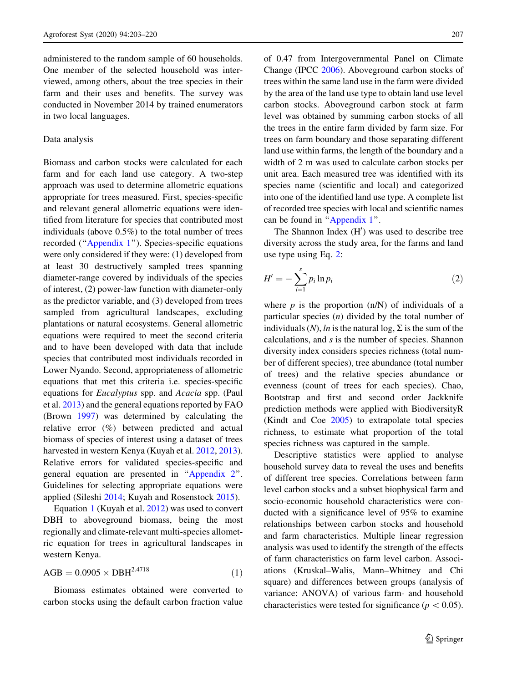administered to the random sample of 60 households. One member of the selected household was interviewed, among others, about the tree species in their farm and their uses and benefits. The survey was conducted in November 2014 by trained enumerators in two local languages.

## Data analysis

Biomass and carbon stocks were calculated for each farm and for each land use category. A two-step approach was used to determine allometric equations appropriate for trees measured. First, species-specific and relevant general allometric equations were identified from literature for species that contributed most individuals (above 0.5%) to the total number of trees recorded (''[Appendix 1'](#page-12-0)'). Species-specific equations were only considered if they were: (1) developed from at least 30 destructively sampled trees spanning diameter-range covered by individuals of the species of interest, (2) power-law function with diameter-only as the predictor variable, and (3) developed from trees sampled from agricultural landscapes, excluding plantations or natural ecosystems. General allometric equations were required to meet the second criteria and to have been developed with data that include species that contributed most individuals recorded in Lower Nyando. Second, appropriateness of allometric equations that met this criteria i.e. species-specific equations for Eucalyptus spp. and Acacia spp. (Paul et al. [2013\)](#page-16-0) and the general equations reported by FAO (Brown [1997](#page-15-0)) was determined by calculating the relative error (%) between predicted and actual biomass of species of interest using a dataset of trees harvested in western Kenya (Kuyah et al. [2012,](#page-16-0) [2013](#page-16-0)). Relative errors for validated species-specific and general equation are presented in ''[Appendix 2](#page-14-0)''. Guidelines for selecting appropriate equations were applied (Sileshi [2014](#page-16-0); Kuyah and Rosenstock [2015](#page-16-0)).

Equation 1 (Kuyah et al. [2012](#page-16-0)) was used to convert DBH to aboveground biomass, being the most regionally and climate-relevant multi-species allometric equation for trees in agricultural landscapes in western Kenya.

$$
AGB = 0.0905 \times DBH^{2.4718}
$$
 (1)

Biomass estimates obtained were converted to carbon stocks using the default carbon fraction value of 0.47 from Intergovernmental Panel on Climate Change (IPCC [2006\)](#page-16-0). Aboveground carbon stocks of trees within the same land use in the farm were divided by the area of the land use type to obtain land use level carbon stocks. Aboveground carbon stock at farm level was obtained by summing carbon stocks of all the trees in the entire farm divided by farm size. For trees on farm boundary and those separating different land use within farms, the length of the boundary and a width of 2 m was used to calculate carbon stocks per unit area. Each measured tree was identified with its species name (scientific and local) and categorized into one of the identified land use type. A complete list of recorded tree species with local and scientific names can be found in '['Appendix 1](#page-12-0)''.

The Shannon Index  $(H')$  was used to describe tree diversity across the study area, for the farms and land use type using Eq. 2:

$$
H' = -\sum_{i=1}^{s} p_i \ln p_i \tag{2}
$$

where  $p$  is the proportion  $(n/N)$  of individuals of a particular species (n) divided by the total number of individuals (N), ln is the natural log,  $\Sigma$  is the sum of the calculations, and s is the number of species. Shannon diversity index considers species richness (total number of different species), tree abundance (total number of trees) and the relative species abundance or evenness (count of trees for each species). Chao, Bootstrap and first and second order Jackknife prediction methods were applied with BiodiversityR (Kindt and Coe [2005](#page-16-0)) to extrapolate total species richness, to estimate what proportion of the total species richness was captured in the sample.

Descriptive statistics were applied to analyse household survey data to reveal the uses and benefits of different tree species. Correlations between farm level carbon stocks and a subset biophysical farm and socio-economic household characteristics were conducted with a significance level of 95% to examine relationships between carbon stocks and household and farm characteristics. Multiple linear regression analysis was used to identify the strength of the effects of farm characteristics on farm level carbon. Associations (Kruskal–Walis, Mann–Whitney and Chi square) and differences between groups (analysis of variance: ANOVA) of various farm- and household characteristics were tested for significance ( $p \lt 0.05$ ).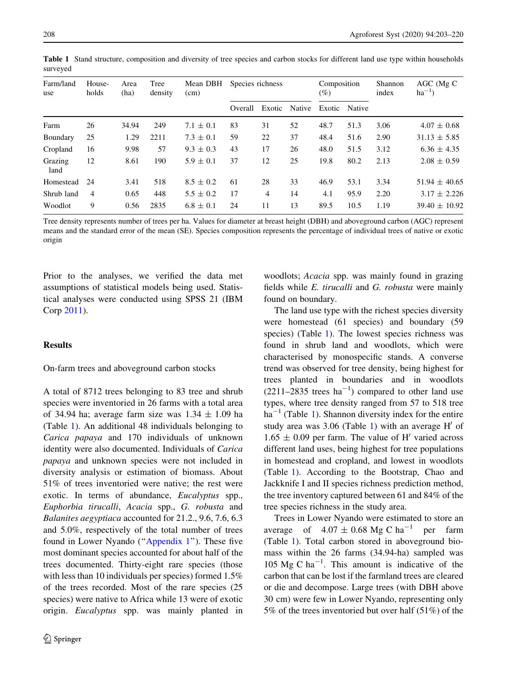| Farm/land<br>use | House-<br>holds | Area<br>(ha) | Tree<br>density | Mean DBH<br>(cm) | Species richness |        | Composition<br>(%) |        | Shannon<br>index | $AGC$ (Mg $C$<br>$ha^{-1}$ ) |                   |
|------------------|-----------------|--------------|-----------------|------------------|------------------|--------|--------------------|--------|------------------|------------------------------|-------------------|
|                  |                 |              |                 |                  | Overall          | Exotic | Native             | Exotic | <b>Native</b>    |                              |                   |
| Farm             | 26              | 34.94        | 249             | $7.1 \pm 0.1$    | 83               | 31     | 52                 | 48.7   | 51.3             | 3.06                         | $4.07 \pm 0.68$   |
| Boundary         | 25              | 1.29         | 2211            | $7.3 \pm 0.1$    | 59               | 22     | 37                 | 48.4   | 51.6             | 2.90                         | $31.13 \pm 5.85$  |
| Cropland         | 16              | 9.98         | 57              | $9.3 \pm 0.3$    | 43               | 17     | 26                 | 48.0   | 51.5             | 3.12                         | $6.36 \pm 4.35$   |
| Grazing<br>land  | 12              | 8.61         | 190             | $5.9 \pm 0.1$    | 37               | 12     | 25                 | 19.8   | 80.2             | 2.13                         | $2.08 \pm 0.59$   |
| Homestead        | 24              | 3.41         | 518             | $8.5 \pm 0.2$    | 61               | 28     | 33                 | 46.9   | 53.1             | 3.34                         | $51.94 \pm 40.65$ |
| Shrub land       | 4               | 0.65         | 448             | $5.5 \pm 0.2$    | 17               | 4      | 14                 | 4.1    | 95.9             | 2.20                         | $3.17 \pm 2.226$  |
| Woodlot          | 9               | 0.56         | 2835            | $6.8 \pm 0.1$    | 24               | 11     | 13                 | 89.5   | 10.5             | 1.19                         | $39.40 \pm 10.92$ |

<span id="page-5-0"></span>Table 1 Stand structure, composition and diversity of tree species and carbon stocks for different land use type within households surveyed

Tree density represents number of trees per ha. Values for diameter at breast height (DBH) and aboveground carbon (AGC) represent means and the standard error of the mean (SE). Species composition represents the percentage of individual trees of native or exotic origin

Prior to the analyses, we verified the data met assumptions of statistical models being used. Statistical analyses were conducted using SPSS 21 (IBM Corp [2011](#page-16-0)).

# Results

On-farm trees and aboveground carbon stocks

A total of 8712 trees belonging to 83 tree and shrub species were inventoried in 26 farms with a total area of 34.94 ha; average farm size was  $1.34 \pm 1.09$  ha (Table 1). An additional 48 individuals belonging to Carica papaya and 170 individuals of unknown identity were also documented. Individuals of Carica papaya and unknown species were not included in diversity analysis or estimation of biomass. About 51% of trees inventoried were native; the rest were exotic. In terms of abundance, Eucalyptus spp., Euphorbia tirucalli, Acacia spp., G. robusta and Balanites aegyptiaca accounted for 21.2., 9.6, 7.6, 6.3 and 5.0%, respectively of the total number of trees found in Lower Nyando ("[Appendix 1](#page-12-0)"). These five most dominant species accounted for about half of the trees documented. Thirty-eight rare species (those with less than 10 individuals per species) formed 1.5% of the trees recorded. Most of the rare species (25 species) were native to Africa while 13 were of exotic origin. Eucalyptus spp. was mainly planted in woodlots; Acacia spp. was mainly found in grazing fields while E. tirucalli and G. robusta were mainly found on boundary.

The land use type with the richest species diversity were homestead (61 species) and boundary (59 species) (Table 1). The lowest species richness was found in shrub land and woodlots, which were characterised by monospecific stands. A converse trend was observed for tree density, being highest for trees planted in boundaries and in woodlots  $(2211-2835$  trees ha<sup>-1</sup>) compared to other land use types, where tree density ranged from 57 to 518 tree  $ha^{-1}$  (Table 1). Shannon diversity index for the entire study area was 3.06 (Table 1) with an average  $H'$  of  $1.65 \pm 0.09$  per farm. The value of H' varied across different land uses, being highest for tree populations in homestead and cropland, and lowest in woodlots (Table 1). According to the Bootstrap, Chao and Jackknife I and II species richness prediction method, the tree inventory captured between 61 and 84% of the tree species richness in the study area.

Trees in Lower Nyando were estimated to store an average of  $4.07 \pm 0.68$  Mg C ha<sup>-1</sup> per farm (Table 1). Total carbon stored in aboveground biomass within the 26 farms (34.94-ha) sampled was 105  $Mg$  C ha<sup>-1</sup>. This amount is indicative of the carbon that can be lost if the farmland trees are cleared or die and decompose. Large trees (with DBH above 30 cm) were few in Lower Nyando, representing only 5% of the trees inventoried but over half (51%) of the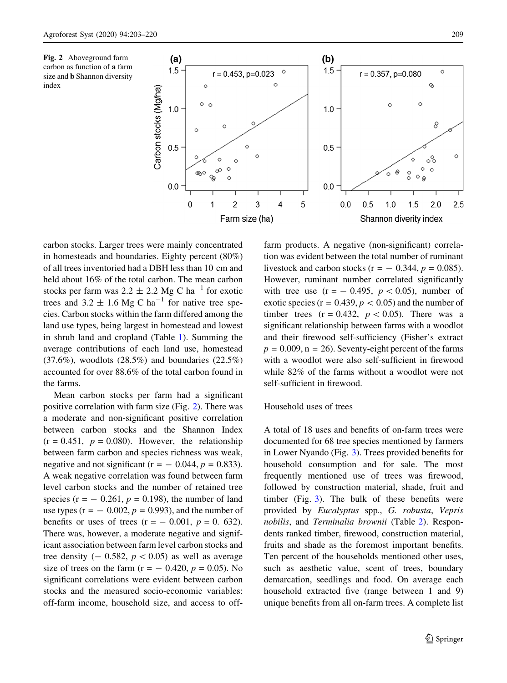



carbon stocks. Larger trees were mainly concentrated in homesteads and boundaries. Eighty percent (80%) of all trees inventoried had a DBH less than 10 cm and held about 16% of the total carbon. The mean carbon stocks per farm was  $2.2 \pm 2.2$  Mg C ha<sup>-1</sup> for exotic trees and 3.2  $\pm$  1.6 Mg C ha<sup>-1</sup> for native tree species. Carbon stocks within the farm differed among the land use types, being largest in homestead and lowest in shrub land and cropland (Table [1](#page-5-0)). Summing the average contributions of each land use, homestead  $(37.6\%)$ , woodlots  $(28.5\%)$  and boundaries  $(22.5\%)$ accounted for over 88.6% of the total carbon found in the farms.

Mean carbon stocks per farm had a significant positive correlation with farm size (Fig. 2). There was a moderate and non-significant positive correlation between carbon stocks and the Shannon Index  $(r = 0.451, p = 0.080)$ . However, the relationship between farm carbon and species richness was weak, negative and not significant ( $r = -0.044$ ,  $p = 0.833$ ). A weak negative correlation was found between farm level carbon stocks and the number of retained tree species ( $r = -0.261$ ,  $p = 0.198$ ), the number of land use types ( $r = -0.002$ ,  $p = 0.993$ ), and the number of benefits or uses of trees  $(r = -0.001, p = 0.632)$ . There was, however, a moderate negative and significant association between farm level carbon stocks and tree density ( $- 0.582$ ,  $p < 0.05$ ) as well as average size of trees on the farm ( $r = -0.420$ ,  $p = 0.05$ ). No significant correlations were evident between carbon stocks and the measured socio-economic variables: off-farm income, household size, and access to offfarm products. A negative (non-significant) correlation was evident between the total number of ruminant livestock and carbon stocks ( $r = -0.344$ ,  $p = 0.085$ ). However, ruminant number correlated significantly with tree use  $(r = -0.495, p < 0.05)$ , number of exotic species ( $r = 0.439$ ,  $p < 0.05$ ) and the number of timber trees  $(r = 0.432, p < 0.05)$ . There was a significant relationship between farms with a woodlot and their firewood self-sufficiency (Fisher's extract  $p = 0.009$ ,  $n = 26$ ). Seventy-eight percent of the farms with a woodlot were also self-sufficient in firewood while 82% of the farms without a woodlot were not self-sufficient in firewood.

## Household uses of trees

A total of 18 uses and benefits of on-farm trees were documented for 68 tree species mentioned by farmers in Lower Nyando (Fig. [3\)](#page-7-0). Trees provided benefits for household consumption and for sale. The most frequently mentioned use of trees was firewood, followed by construction material, shade, fruit and timber (Fig. [3\)](#page-7-0). The bulk of these benefits were provided by Eucalyptus spp., G. robusta, Vepris nobilis, and Terminalia brownii (Table [2\)](#page-7-0). Respondents ranked timber, firewood, construction material, fruits and shade as the foremost important benefits. Ten percent of the households mentioned other uses, such as aesthetic value, scent of trees, boundary demarcation, seedlings and food. On average each household extracted five (range between 1 and 9) unique benefits from all on-farm trees. A complete list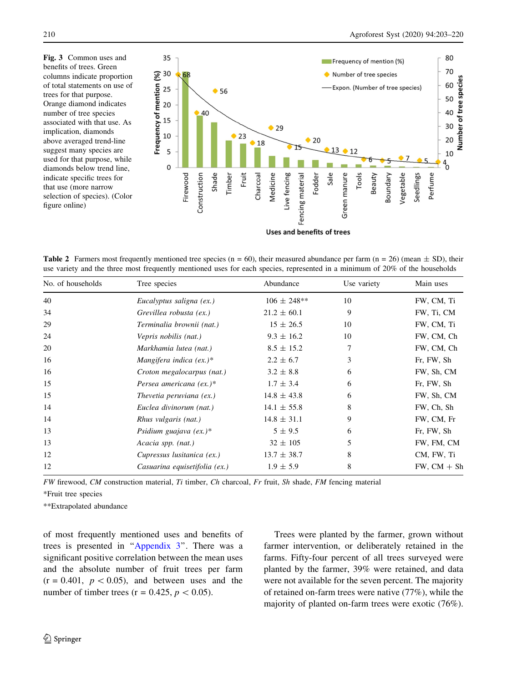<span id="page-7-0"></span>Fig. 3 Common uses and benefits of trees. Green columns indicate proportion of total statements on use of trees for that purpose. Orange diamond indicates number of tree species associated with that use. As implication, diamonds above averaged trend-line suggest many species are used for that purpose, while diamonds below trend line, indicate specific trees for that use (more narrow selection of species). (Color figure online)



**Table 2** Farmers most frequently mentioned tree species (n = 60), their measured abundance per farm (n = 26) (mean  $\pm$  SD), their use variety and the three most frequently mentioned uses for each species, represented in a minimum of 20% of the households

| No. of households | Tree species                  | Abundance       | Use variety    | Main uses     |
|-------------------|-------------------------------|-----------------|----------------|---------------|
| 40                | Eucalyptus saligna (ex.)      | $106 \pm 248**$ | 10             | FW, CM, Ti    |
| 34                | Grevillea robusta (ex.)       | $21.2 \pm 60.1$ | 9              | FW, Ti, CM    |
| 29                | Terminalia brownii (nat.)     | $15 \pm 26.5$   | 10             | FW, CM, Ti    |
| 24                | Vepris nobilis (nat.)         | $9.3 \pm 16.2$  | 10             | FW, CM, Ch    |
| 20                | Markhamia lutea (nat.)        | $8.5 \pm 15.2$  | $\overline{7}$ | FW, CM, Ch    |
| 16                | Mangifera indica $(ex.)^*$    | $2.2 \pm 6.7$   | 3              | Fr, FW, Sh    |
| 16                | Croton megalocarpus (nat.)    | $3.2 \pm 8.8$   | 6              | FW, Sh, CM    |
| 15                | Persea americana (ex.)*       | $1.7 \pm 3.4$   | 6              | Fr, FW, Sh    |
| 15                | Thevetia peruviana (ex.)      | $14.8 \pm 43.8$ | 6              | FW, Sh, CM    |
| 14                | Euclea divinorum (nat.)       | $14.1 \pm 55.8$ | 8              | FW, Ch, Sh    |
| 14                | Rhus vulgaris (nat.)          | $14.8 \pm 31.1$ | 9              | FW, CM, Fr    |
| 13                | Psidium guajava $(ex.)^*$     | $5 \pm 9.5$     | 6              | Fr, FW, Sh    |
| 13                | Acacia spp. (nat.)            | $32 \pm 105$    | 5              | FW, FM, CM    |
| 12                | Cupressus lusitanica (ex.)    | $13.7 \pm 38.7$ | 8              | CM, FW, Ti    |
| 12                | Casuarina equisetifolia (ex.) | $1.9 \pm 5.9$   | 8              | $FW, CM + Sh$ |

FW firewood, CM construction material, Ti timber, Ch charcoal, Fr fruit, Sh shade, FM fencing material

\*Fruit tree species

\*\*Extrapolated abundance

of most frequently mentioned uses and benefits of trees is presented in '['Appendix 3'](#page-14-0)'. There was a significant positive correlation between the mean uses and the absolute number of fruit trees per farm  $(r = 0.401, p < 0.05)$ , and between uses and the number of timber trees ( $r = 0.425$ ,  $p < 0.05$ ).

Trees were planted by the farmer, grown without farmer intervention, or deliberately retained in the farms. Fifty-four percent of all trees surveyed were planted by the farmer, 39% were retained, and data were not available for the seven percent. The majority of retained on-farm trees were native (77%), while the majority of planted on-farm trees were exotic (76%).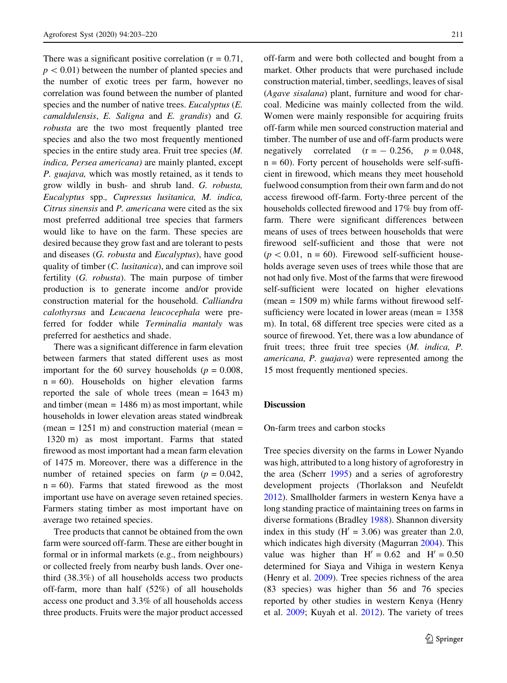There was a significant positive correlation  $(r = 0.71)$ ,  $p < 0.01$ ) between the number of planted species and the number of exotic trees per farm, however no correlation was found between the number of planted species and the number of native trees. *Eucalyptus (E.* camaldulensis, E. Saligna and E. grandis) and G. robusta are the two most frequently planted tree species and also the two most frequently mentioned species in the entire study area. Fruit tree species  $(M)$ . indica, Persea americana) are mainly planted, except P. guajava, which was mostly retained, as it tends to grow wildly in bush- and shrub land. G. robusta, Eucalyptus spp., Cupressus lusitanica, M. indica, Citrus sinensis and P. americana were cited as the six most preferred additional tree species that farmers would like to have on the farm. These species are desired because they grow fast and are tolerant to pests and diseases (G. robusta and Eucalyptus), have good quality of timber (C. lusitanica), and can improve soil fertility (G. robusta). The main purpose of timber production is to generate income and/or provide construction material for the household. Calliandra calothyrsus and Leucaena leucocephala were preferred for fodder while Terminalia mantaly was preferred for aesthetics and shade.

There was a significant difference in farm elevation between farmers that stated different uses as most important for the 60 survey households ( $p = 0.008$ ,  $n = 60$ ). Households on higher elevation farms reported the sale of whole trees (mean  $= 1643$  m) and timber (mean  $= 1486$  m) as most important, while households in lower elevation areas stated windbreak (mean  $= 1251$  m) and construction material (mean  $=$ 1320 m) as most important. Farms that stated firewood as most important had a mean farm elevation of 1475 m. Moreover, there was a difference in the number of retained species on farm  $(p = 0.042)$ ,  $n = 60$ ). Farms that stated firewood as the most important use have on average seven retained species. Farmers stating timber as most important have on average two retained species.

Tree products that cannot be obtained from the own farm were sourced off-farm. These are either bought in formal or in informal markets (e.g., from neighbours) or collected freely from nearby bush lands. Over onethird (38.3%) of all households access two products off-farm, more than half (52%) of all households access one product and 3.3% of all households access three products. Fruits were the major product accessed off-farm and were both collected and bought from a market. Other products that were purchased include construction material, timber, seedlings, leaves of sisal (Agave sisalana) plant, furniture and wood for charcoal. Medicine was mainly collected from the wild. Women were mainly responsible for acquiring fruits off-farm while men sourced construction material and timber. The number of use and off-farm products were negatively correlated  $(r = -0.256, p = 0.048,$  $n = 60$ ). Forty percent of households were self-sufficient in firewood, which means they meet household fuelwood consumption from their own farm and do not access firewood off-farm. Forty-three percent of the households collected firewood and 17% buy from offfarm. There were significant differences between means of uses of trees between households that were firewood self-sufficient and those that were not  $(p < 0.01, n = 60)$ . Firewood self-sufficient households average seven uses of trees while those that are not had only five. Most of the farms that were firewood self-sufficient were located on higher elevations  $(mean = 1509 \, \text{m})$  while farms without firewood selfsufficiency were located in lower areas (mean = 1358) m). In total, 68 different tree species were cited as a source of firewood. Yet, there was a low abundance of fruit trees; three fruit tree species (M. indica, P. americana, P. guajava) were represented among the 15 most frequently mentioned species.

#### **Discussion**

On-farm trees and carbon stocks

Tree species diversity on the farms in Lower Nyando was high, attributed to a long history of agroforestry in the area (Scherr [1995](#page-16-0)) and a series of agroforestry development projects (Thorlakson and Neufeldt [2012\)](#page-17-0). Smallholder farmers in western Kenya have a long standing practice of maintaining trees on farms in diverse formations (Bradley [1988\)](#page-15-0). Shannon diversity index in this study  $(H' = 3.06)$  was greater than 2.0, which indicates high diversity (Magurran [2004](#page-16-0)). This value was higher than  $H' = 0.62$  and  $H' = 0.50$ determined for Siaya and Vihiga in western Kenya (Henry et al. [2009](#page-15-0)). Tree species richness of the area (83 species) was higher than 56 and 76 species reported by other studies in western Kenya (Henry et al. [2009;](#page-15-0) Kuyah et al. [2012\)](#page-16-0). The variety of trees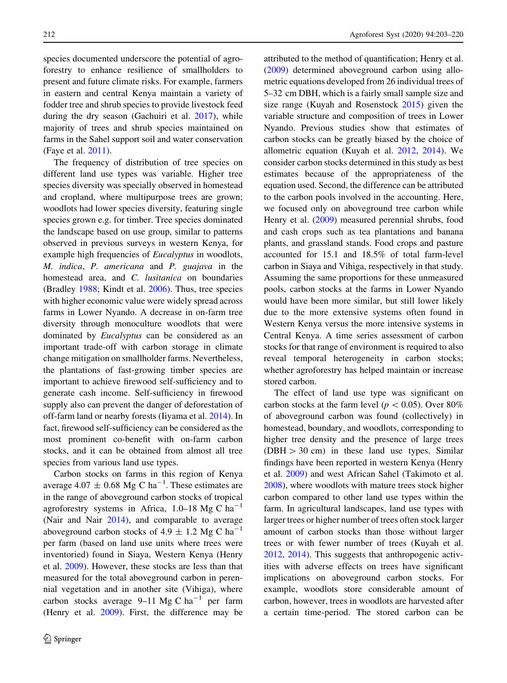species documented underscore the potential of agroforestry to enhance resilience of smallholders to present and future climate risks. For example, farmers in eastern and central Kenya maintain a variety of fodder tree and shrub species to provide livestock feed during the dry season (Gachuiri et al. [2017\)](#page-15-0), while majority of trees and shrub species maintained on farms in the Sahel support soil and water conservation (Faye et al. [2011\)](#page-15-0).

The frequency of distribution of tree species on different land use types was variable. Higher tree species diversity was specially observed in homestead and cropland, where multipurpose trees are grown; woodlots had lower species diversity, featuring single species grown e.g. for timber. Tree species dominated the landscape based on use group, similar to patterns observed in previous surveys in western Kenya, for example high frequencies of *Eucalyptus* in woodlots, M. indica, P. americana and P. guajava in the homestead area, and C. *lusitanica* on boundaries (Bradley [1988;](#page-15-0) Kindt et al. [2006](#page-16-0)). Thus, tree species with higher economic value were widely spread across farms in Lower Nyando. A decrease in on-farm tree diversity through monoculture woodlots that were dominated by Eucalyptus can be considered as an important trade-off with carbon storage in climate change mitigation on smallholder farms. Nevertheless, the plantations of fast-growing timber species are important to achieve firewood self-sufficiency and to generate cash income. Self-sufficiency in firewood supply also can prevent the danger of deforestation of off-farm land or nearby forests (Iiyama et al. [2014\)](#page-16-0). In fact, firewood self-sufficiency can be considered as the most prominent co-benefit with on-farm carbon stocks, and it can be obtained from almost all tree species from various land use types.

Carbon stocks on farms in this region of Kenya average 4.07  $\pm$  0.68 Mg C ha<sup>-1</sup>. These estimates are in the range of aboveground carbon stocks of tropical agroforestry systems in Africa, 1.0–18 Mg C  $ha^{-1}$ (Nair and Nair [2014\)](#page-16-0), and comparable to average aboveground carbon stocks of 4.9  $\pm$  1.2 Mg C ha<sup>-1</sup> per farm (based on land use units where trees were inventoried) found in Siaya, Western Kenya (Henry et al. [2009](#page-15-0)). However, these stocks are less than that measured for the total aboveground carbon in perennial vegetation and in another site (Vihiga), where carbon stocks average  $9-11$  Mg C ha<sup>-1</sup> per farm (Henry et al. [2009\)](#page-15-0). First, the difference may be attributed to the method of quantification; Henry et al. [\(2009](#page-15-0)) determined aboveground carbon using allometric equations developed from 26 individual trees of 5–32 cm DBH, which is a fairly small sample size and size range (Kuyah and Rosenstock [2015](#page-16-0)) given the variable structure and composition of trees in Lower Nyando. Previous studies show that estimates of carbon stocks can be greatly biased by the choice of allometric equation (Kuyah et al. [2012](#page-16-0), [2014](#page-16-0)). We consider carbon stocks determined in this study as best estimates because of the appropriateness of the equation used. Second, the difference can be attributed to the carbon pools involved in the accounting. Here, we focused only on aboveground tree carbon while Henry et al. ([2009\)](#page-15-0) measured perennial shrubs, food and cash crops such as tea plantations and banana plants, and grassland stands. Food crops and pasture accounted for 15.1 and 18.5% of total farm-level carbon in Siaya and Vihiga, respectively in that study. Assuming the same proportions for these unmeasured pools, carbon stocks at the farms in Lower Nyando would have been more similar, but still lower likely due to the more extensive systems often found in Western Kenya versus the more intensive systems in Central Kenya. A time series assessment of carbon stocks for that range of environment is required to also reveal temporal heterogeneity in carbon stocks; whether agroforestry has helped maintain or increase stored carbon.

The effect of land use type was significant on carbon stocks at the farm level ( $p < 0.05$ ). Over 80% of aboveground carbon was found (collectively) in homestead, boundary, and woodlots, corresponding to higher tree density and the presence of large trees  $(DBH > 30 cm)$  in these land use types. Similar findings have been reported in western Kenya (Henry et al. [2009\)](#page-15-0) and west African Sahel (Takimoto et al. [2008\)](#page-17-0), where woodlots with mature trees stock higher carbon compared to other land use types within the farm. In agricultural landscapes, land use types with larger trees or higher number of trees often stock larger amount of carbon stocks than those without larger trees or with fewer number of trees (Kuyah et al. [2012,](#page-16-0) [2014\)](#page-16-0). This suggests that anthropogenic activities with adverse effects on trees have significant implications on aboveground carbon stocks. For example, woodlots store considerable amount of carbon, however, trees in woodlots are harvested after a certain time-period. The stored carbon can be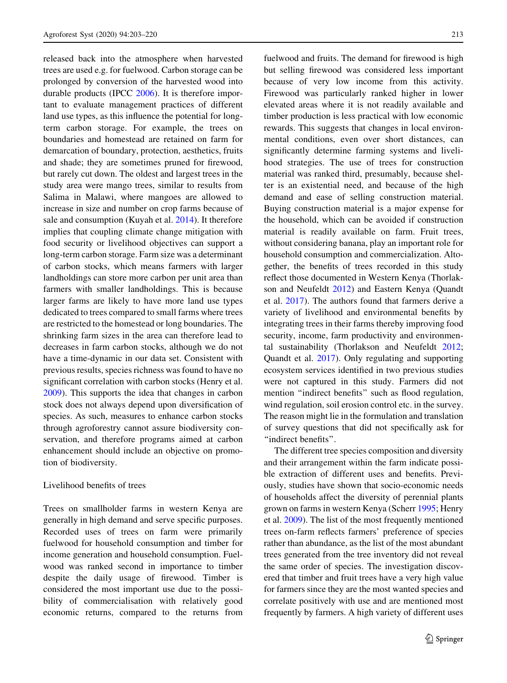released back into the atmosphere when harvested trees are used e.g. for fuelwood. Carbon storage can be prolonged by conversion of the harvested wood into durable products (IPCC [2006\)](#page-16-0). It is therefore important to evaluate management practices of different land use types, as this influence the potential for longterm carbon storage. For example, the trees on boundaries and homestead are retained on farm for demarcation of boundary, protection, aesthetics, fruits and shade; they are sometimes pruned for firewood, but rarely cut down. The oldest and largest trees in the study area were mango trees, similar to results from Salima in Malawi, where mangoes are allowed to increase in size and number on crop farms because of sale and consumption (Kuyah et al. [2014](#page-16-0)). It therefore implies that coupling climate change mitigation with food security or livelihood objectives can support a long-term carbon storage. Farm size was a determinant of carbon stocks, which means farmers with larger landholdings can store more carbon per unit area than farmers with smaller landholdings. This is because larger farms are likely to have more land use types dedicated to trees compared to small farms where trees are restricted to the homestead or long boundaries. The shrinking farm sizes in the area can therefore lead to decreases in farm carbon stocks, although we do not have a time-dynamic in our data set. Consistent with previous results, species richness was found to have no significant correlation with carbon stocks (Henry et al. [2009\)](#page-15-0). This supports the idea that changes in carbon stock does not always depend upon diversification of species. As such, measures to enhance carbon stocks through agroforestry cannot assure biodiversity conservation, and therefore programs aimed at carbon enhancement should include an objective on promotion of biodiversity.

# Livelihood benefits of trees

Trees on smallholder farms in western Kenya are generally in high demand and serve specific purposes. Recorded uses of trees on farm were primarily fuelwood for household consumption and timber for income generation and household consumption. Fuelwood was ranked second in importance to timber despite the daily usage of firewood. Timber is considered the most important use due to the possibility of commercialisation with relatively good economic returns, compared to the returns from fuelwood and fruits. The demand for firewood is high but selling firewood was considered less important because of very low income from this activity. Firewood was particularly ranked higher in lower elevated areas where it is not readily available and timber production is less practical with low economic rewards. This suggests that changes in local environmental conditions, even over short distances, can significantly determine farming systems and livelihood strategies. The use of trees for construction material was ranked third, presumably, because shelter is an existential need, and because of the high demand and ease of selling construction material. Buying construction material is a major expense for the household, which can be avoided if construction material is readily available on farm. Fruit trees, without considering banana, play an important role for household consumption and commercialization. Altogether, the benefits of trees recorded in this study reflect those documented in Western Kenya (Thorlakson and Neufeldt [2012](#page-17-0)) and Eastern Kenya (Quandt et al. [2017](#page-16-0)). The authors found that farmers derive a variety of livelihood and environmental benefits by integrating trees in their farms thereby improving food security, income, farm productivity and environmental sustainability (Thorlakson and Neufeldt [2012](#page-17-0); Quandt et al. [2017](#page-16-0)). Only regulating and supporting ecosystem services identified in two previous studies were not captured in this study. Farmers did not mention "indirect benefits" such as flood regulation, wind regulation, soil erosion control etc. in the survey. The reason might lie in the formulation and translation of survey questions that did not specifically ask for ''indirect benefits''.

The different tree species composition and diversity and their arrangement within the farm indicate possible extraction of different uses and benefits. Previously, studies have shown that socio-economic needs of households affect the diversity of perennial plants grown on farms in western Kenya (Scherr [1995;](#page-16-0) Henry et al. [2009\)](#page-15-0). The list of the most frequently mentioned trees on-farm reflects farmers' preference of species rather than abundance, as the list of the most abundant trees generated from the tree inventory did not reveal the same order of species. The investigation discovered that timber and fruit trees have a very high value for farmers since they are the most wanted species and correlate positively with use and are mentioned most frequently by farmers. A high variety of different uses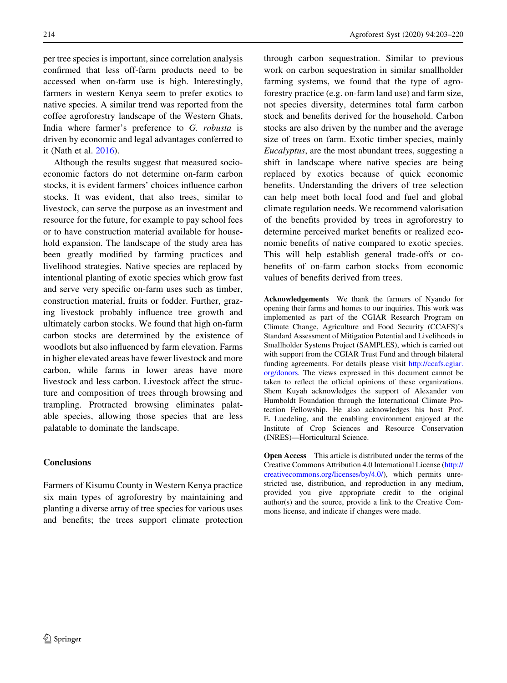per tree species is important, since correlation analysis confirmed that less off-farm products need to be accessed when on-farm use is high. Interestingly, farmers in western Kenya seem to prefer exotics to native species. A similar trend was reported from the coffee agroforestry landscape of the Western Ghats, India where farmer's preference to G. robusta is driven by economic and legal advantages conferred to it (Nath et al. [2016](#page-16-0)).

Although the results suggest that measured socioeconomic factors do not determine on-farm carbon stocks, it is evident farmers' choices influence carbon stocks. It was evident, that also trees, similar to livestock, can serve the purpose as an investment and resource for the future, for example to pay school fees or to have construction material available for household expansion. The landscape of the study area has been greatly modified by farming practices and livelihood strategies. Native species are replaced by intentional planting of exotic species which grow fast and serve very specific on-farm uses such as timber, construction material, fruits or fodder. Further, grazing livestock probably influence tree growth and ultimately carbon stocks. We found that high on-farm carbon stocks are determined by the existence of woodlots but also influenced by farm elevation. Farms in higher elevated areas have fewer livestock and more carbon, while farms in lower areas have more livestock and less carbon. Livestock affect the structure and composition of trees through browsing and trampling. Protracted browsing eliminates palatable species, allowing those species that are less palatable to dominate the landscape.

## **Conclusions**

Farmers of Kisumu County in Western Kenya practice six main types of agroforestry by maintaining and planting a diverse array of tree species for various uses and benefits; the trees support climate protection through carbon sequestration. Similar to previous work on carbon sequestration in similar smallholder farming systems, we found that the type of agroforestry practice (e.g. on-farm land use) and farm size, not species diversity, determines total farm carbon stock and benefits derived for the household. Carbon stocks are also driven by the number and the average size of trees on farm. Exotic timber species, mainly Eucalyptus, are the most abundant trees, suggesting a shift in landscape where native species are being replaced by exotics because of quick economic benefits. Understanding the drivers of tree selection can help meet both local food and fuel and global climate regulation needs. We recommend valorisation of the benefits provided by trees in agroforestry to determine perceived market benefits or realized economic benefits of native compared to exotic species. This will help establish general trade-offs or cobenefits of on-farm carbon stocks from economic values of benefits derived from trees.

Acknowledgements We thank the farmers of Nyando for opening their farms and homes to our inquiries. This work was implemented as part of the CGIAR Research Program on Climate Change, Agriculture and Food Security (CCAFS)'s Standard Assessment of Mitigation Potential and Livelihoods in Smallholder Systems Project (SAMPLES), which is carried out with support from the CGIAR Trust Fund and through bilateral funding agreements. For details please visit [http://ccafs.cgiar.](http://ccafs.cgiar.org/donors) [org/donors.](http://ccafs.cgiar.org/donors) The views expressed in this document cannot be taken to reflect the official opinions of these organizations. Shem Kuyah acknowledges the support of Alexander von Humboldt Foundation through the International Climate Protection Fellowship. He also acknowledges his host Prof. E. Luedeling, and the enabling environment enjoyed at the Institute of Crop Sciences and Resource Conservation (INRES)—Horticultural Science.

Open Access This article is distributed under the terms of the Creative Commons Attribution 4.0 International License ([http://](http://creativecommons.org/licenses/by/4.0/) [creativecommons.org/licenses/by/4.0/\)](http://creativecommons.org/licenses/by/4.0/), which permits unrestricted use, distribution, and reproduction in any medium, provided you give appropriate credit to the original author(s) and the source, provide a link to the Creative Commons license, and indicate if changes were made.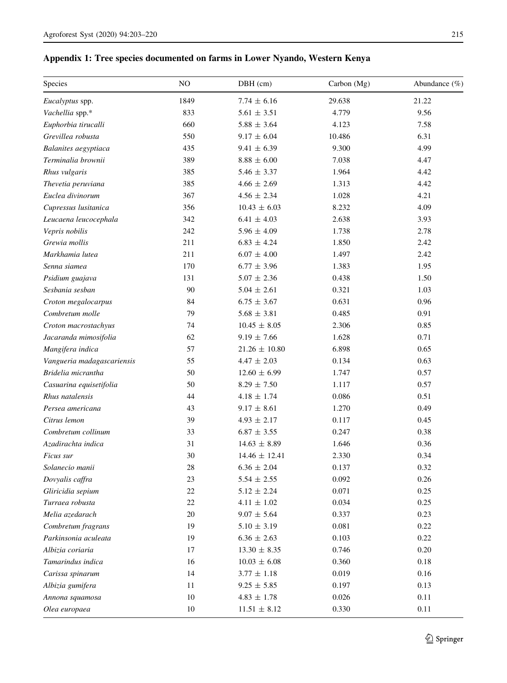# <span id="page-12-0"></span>Appendix 1: Tree species documented on farms in Lower Nyando, Western Kenya

| Species                    | NO     | $DBH$ (cm)        | Carbon (Mg) | Abundance (%) |  |
|----------------------------|--------|-------------------|-------------|---------------|--|
| Eucalyptus spp.            | 1849   | $7.74 \pm 6.16$   | 29.638      | 21.22         |  |
| Vachellia spp.*            | 833    | $5.61 \pm 3.51$   | 4.779       | 9.56          |  |
| Euphorbia tirucalli        | 660    | $5.88 \pm 3.64$   | 4.123       | 7.58          |  |
| Grevillea robusta          | 550    | $9.17 \pm 6.04$   | 10.486      | 6.31          |  |
| Balanites aegyptiaca       | 435    | $9.41 \pm 6.39$   | 9.300       | 4.99          |  |
| Terminalia brownii         | 389    | $8.88 \pm 6.00$   | 7.038       | 4.47          |  |
| Rhus vulgaris              | 385    | $5.46 \pm 3.37$   | 1.964       | 4.42          |  |
| Thevetia peruviana         | 385    | $4.66 \pm 2.69$   | 1.313       | 4.42          |  |
| Euclea divinorum           | 367    | $4.56 \pm 2.34$   | 1.028       | 4.21          |  |
| Cupressus lusitanica       | 356    | $10.43 \pm 6.03$  | 8.232       | 4.09          |  |
| Leucaena leucocephala      | 342    | $6.41 \pm 4.03$   | 2.638       | 3.93          |  |
| Vepris nobilis             | 242    | $5.96 \pm 4.09$   | 1.738       | 2.78          |  |
| Grewia mollis              | 211    | $6.83 \pm 4.24$   | 1.850       | 2.42          |  |
| Markhamia lutea            | 211    | $6.07 \pm 4.00$   | 1.497       | 2.42          |  |
| Senna siamea               | 170    | $6.77 \pm 3.96$   | 1.383       | 1.95          |  |
| Psidium guajava            | 131    | $5.07 \pm 2.36$   | 0.438       | 1.50          |  |
| Sesbania sesban            | 90     | $5.04 \pm 2.61$   | 0.321       | 1.03          |  |
| Croton megalocarpus        | 84     | $6.75 \pm 3.67$   | 0.631       | 0.96          |  |
| Combretum molle            | 79     | $5.68 \pm 3.81$   | 0.485       | 0.91          |  |
| Croton macrostachyus       | 74     | $10.45 \pm 8.05$  | 2.306       | 0.85          |  |
| Jacaranda mimosifolia      | 62     | $9.19 \pm 7.66$   | 1.628       | 0.71          |  |
| Mangifera indica           | 57     | $21.26 \pm 10.80$ | 6.898       | 0.65          |  |
| Vangueria madagascariensis | 55     | $4.47 \pm 2.03$   | 0.134       | 0.63          |  |
| Bridelia micrantha         | 50     | $12.60 \pm 6.99$  | 1.747       | 0.57          |  |
| Casuarina equisetifolia    | 50     | $8.29 \pm 7.50$   | 1.117       | 0.57          |  |
| Rhus natalensis            | 44     | $4.18 \pm 1.74$   | 0.086       | 0.51          |  |
| Persea americana           | 43     | $9.17 \pm 8.61$   | 1.270       | 0.49          |  |
| Citrus lemon               | 39     | $4.93 \pm 2.17$   | 0.117       | 0.45          |  |
| Combretum collinum         | 33     | $6.87 \pm 3.55$   | 0.247       | 0.38          |  |
| Azadirachta indica         | 31     | $14.63 \pm 8.89$  | 1.646       | 0.36          |  |
| Ficus sur                  | 30     | $14.46 \pm 12.41$ | 2.330       | 0.34          |  |
| Solanecio manii            | 28     | $6.36 \pm 2.04$   | 0.137       | 0.32          |  |
| Dovyalis caffra            | 23     | $5.54 \pm 2.55$   | 0.092       | 0.26          |  |
| Gliricidia sepium          | $22\,$ | $5.12 \pm 2.24$   | 0.071       | 0.25          |  |
| Turraea robusta            | 22     | $4.11 \pm 1.02$   | 0.034       | 0.25          |  |
| Melia azedarach            | $20\,$ | $9.07 \pm 5.64$   | 0.337       | 0.23          |  |
| Combretum fragrans         | 19     | $5.10 \pm 3.19$   | 0.081       | 0.22          |  |
| Parkinsonia aculeata       | 19     | $6.36 \pm 2.63$   | 0.103       | 0.22          |  |
| Albizia coriaria           | 17     | $13.30 \pm 8.35$  | 0.746       | 0.20          |  |
| Tamarindus indica          | 16     | $10.03 \pm 6.08$  | 0.360       | 0.18          |  |
| Carissa spinarum           | 14     | $3.77 \pm 1.18$   | 0.019       | 0.16          |  |
| Albizia gumifera           | 11     | $9.25 \pm 5.85$   | 0.197       | 0.13          |  |
| Annona squamosa            | 10     | $4.83 \pm 1.78$   | 0.026       | 0.11          |  |
| Olea europaea              | 10     | $11.51 \pm 8.12$  | 0.330       | 0.11          |  |

 $\mathcal{D}$  Springer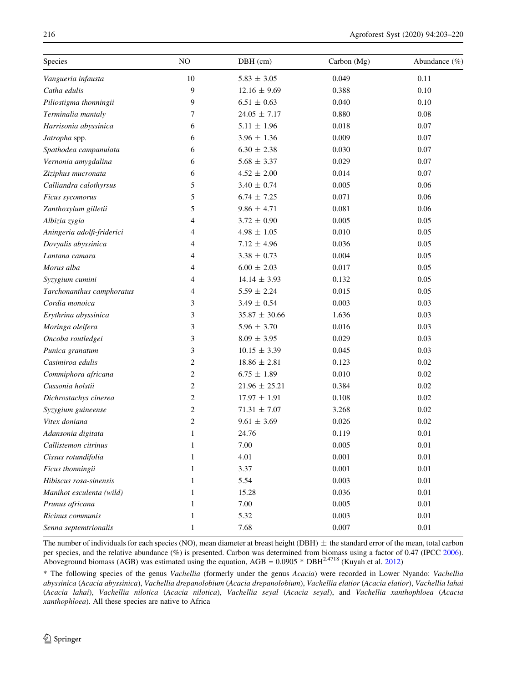| Species                    | N <sub>O</sub> | $DBH$ (cm)        | Carbon $(Mg)$ | Abundance $(\%)$ |
|----------------------------|----------------|-------------------|---------------|------------------|
| Vangueria infausta         | 10             | $5.83 \pm 3.05$   | 0.049         | 0.11             |
| Catha edulis               | 9              | $12.16 \pm 9.69$  | 0.388         | 0.10             |
| Piliostigma thonningii     | 9              | $6.51 \pm 0.63$   | 0.040         | 0.10             |
| Terminalia mantaly         | 7              | $24.05 \pm 7.17$  | 0.880         | 0.08             |
| Harrisonia abyssinica      | 6              | $5.11 \pm 1.96$   | 0.018         | 0.07             |
| Jatropha spp.              | 6              | $3.96 \pm 1.36$   | 0.009         | 0.07             |
| Spathodea campanulata      | 6              | $6.30 \pm 2.38$   | 0.030         | 0.07             |
| Vernonia amygdalina        | 6              | $5.68 \pm 3.37$   | 0.029         | 0.07             |
| Ziziphus mucronata         | 6              | $4.52 \pm 2.00$   | 0.014         | 0.07             |
| Calliandra calothyrsus     | 5              | $3.40 \pm 0.74$   | 0.005         | 0.06             |
| Ficus sycomorus            | 5              | $6.74 \pm 7.25$   | 0.071         | 0.06             |
| Zanthoxylum gilletii       | 5              | $9.86 \pm 4.71$   | 0.081         | 0.06             |
| Albizia zygia              | $\overline{4}$ | $3.72 \pm 0.90$   | 0.005         | 0.05             |
| Aningeria adolfi-friderici | $\overline{4}$ | $4.98 \pm 1.05$   | 0.010         | 0.05             |
| Dovyalis abyssinica        | 4              | $7.12 \pm 4.96$   | 0.036         | 0.05             |
| Lantana camara             | 4              | $3.38 \pm 0.73$   | 0.004         | 0.05             |
| Morus alba                 | 4              | $6.00 \pm 2.03$   | 0.017         | 0.05             |
| Syzygium cumini            | 4              | $14.14 \pm 3.93$  | 0.132         | 0.05             |
| Tarchonanthus camphoratus  | $\overline{4}$ | $5.59 \pm 2.24$   | 0.015         | 0.05             |
| Cordia monoica             | 3              | $3.49 \pm 0.54$   | 0.003         | 0.03             |
| Erythrina abyssinica       | 3              | $35.87 \pm 30.66$ | 1.636         | 0.03             |
| Moringa oleifera           | 3              | $5.96 \pm 3.70$   | 0.016         | 0.03             |
| Oncoba routledgei          | 3              | $8.09 \pm 3.95$   | 0.029         | 0.03             |
| Punica granatum            | 3              | $10.15 \pm 3.39$  | 0.045         | 0.03             |
| Casimiroa edulis           | $\overline{c}$ | $18.86 \pm 2.81$  | 0.123         | 0.02             |
| Commiphora africana        | $\overline{c}$ | $6.75 \pm 1.89$   | 0.010         | 0.02             |
| Cussonia holstii           | $\overline{2}$ | $21.96 \pm 25.21$ | 0.384         | 0.02             |
| Dichrostachys cinerea      | $\overline{c}$ | $17.97 \pm 1.91$  | 0.108         | 0.02             |
| Syzygium guineense         | $\overline{c}$ | $71.31 \pm 7.07$  | 3.268         | 0.02             |
| Vitex doniana              | $\overline{c}$ | $9.61 \pm 3.69$   | 0.026         | 0.02             |
| Adansonia digitata         | $\mathbf{1}$   | 24.76             | 0.119         | 0.01             |
| Callistemon citrinus       | $\mathbf{1}$   | 7.00              | 0.005         | 0.01             |
| Cissus rotundifolia        | $\mathbf{1}$   | 4.01              | 0.001         | 0.01             |
| Ficus thonningii           | 1              | 3.37              | 0.001         | 0.01             |
| Hibiscus rosa-sinensis     | 1              | 5.54              | 0.003         | 0.01             |
| Manihot esculenta (wild)   | $\mathbf{1}$   | 15.28             | 0.036         | 0.01             |
| Prunus africana            | $\mathbf{1}$   | 7.00              | 0.005         | 0.01             |
| Ricinus communis           | $\mathbf{1}$   | 5.32              | 0.003         | 0.01             |
| Senna septemtrionalis      | $\mathbf{1}$   | 7.68              | 0.007         | 0.01             |

The number of individuals for each species (NO), mean diameter at breast height (DBH)  $\pm$  the standard error of the mean, total carbon per species, and the relative abundance (%) is presented. Carbon was determined from biomass using a factor of 0.47 (IPCC [2006](#page-16-0)). Aboveground biomass (AGB) was estimated using the equation, AGB =  $0.0905 * DBH^{2.4718}$  (Kuyah et al. [2012\)](#page-16-0)

\* The following species of the genus Vachellia (formerly under the genus Acacia) were recorded in Lower Nyando: Vachellia abyssinica (Acacia abyssinica), Vachellia drepanolobium (Acacia drepanolobium), Vachellia elatior (Acacia elatior), Vachellia lahai (Acacia lahai), Vachellia nilotica (Acacia nilotica), Vachellia seyal (Acacia seyal), and Vachellia xanthophloea (Acacia xanthophloea). All these species are native to Africa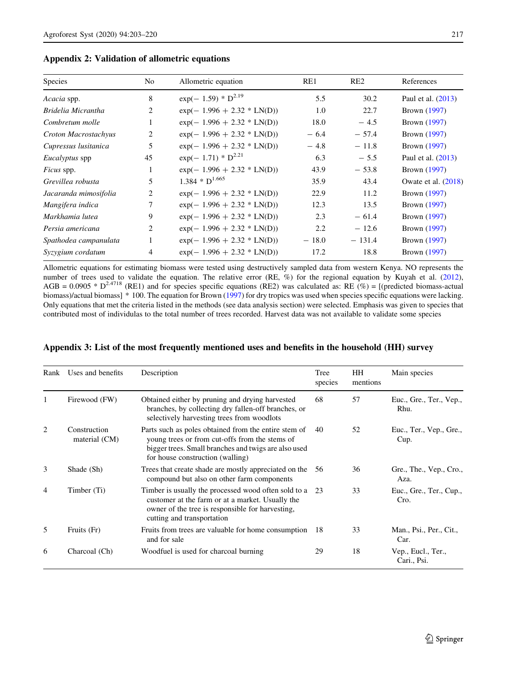| <b>Species</b>        | No | Allometric equation          | RE1     | RE <sub>2</sub> | References            |
|-----------------------|----|------------------------------|---------|-----------------|-----------------------|
| Acacia spp.           | 8  | $exp(-1.59) * D^{2.19}$      | 5.5     | 30.2            | Paul et al. (2013)    |
| Bridelia Micrantha    | 2  | $exp(-1.996 + 2.32 * LN(D))$ | 1.0     | 22.7            | Brown (1997)          |
| Combretum molle       | 1  | $exp(-1.996 + 2.32 * LN(D))$ | 18.0    | $-4.5$          | Brown (1997)          |
| Croton Macrostachyus  | 2  | $exp(-1.996 + 2.32 * LN(D))$ | $-6.4$  | $-57.4$         | Brown (1997)          |
| Cupressus lusitanica  | 5  | $exp(-1.996 + 2.32 * LN(D))$ | $-4.8$  | $-11.8$         | Brown (1997)          |
| <i>Eucalyptus</i> spp | 45 | $exp(-1.71) * D^{2.21}$      | 6.3     | $-5.5$          | Paul et al. (2013)    |
| <i>Ficus</i> spp.     | 1  | $exp(-1.996 + 2.32 * LN(D))$ | 43.9    | $-53.8$         | Brown (1997)          |
| Grevillea robusta     | 5  | $1.384 * D^{1.665}$          | 35.9    | 43.4            | Owate et al. $(2018)$ |
| Jacaranda mimosifolia | 2  | $exp(-1.996 + 2.32 * LN(D))$ | 22.9    | 11.2            | Brown (1997)          |
| Mangifera indica      | 7  | $exp(-1.996 + 2.32 * LN(D))$ | 12.3    | 13.5            | Brown (1997)          |
| Markhamia lutea       | 9  | $exp(-1.996 + 2.32 * LN(D))$ | 2.3     | $-61.4$         | Brown (1997)          |
| Persia americana      | 2  | $exp(-1.996 + 2.32 * LN(D))$ | 2.2     | $-12.6$         | Brown (1997)          |
| Spathodea campanulata |    | $exp(-1.996 + 2.32 * LN(D))$ | $-18.0$ | $-131.4$        | Brown (1997)          |
| Syzygium cordatum     | 4  | $exp(-1.996 + 2.32 * LN(D))$ | 17.2    | 18.8            | Brown (1997)          |

<span id="page-14-0"></span>Appendix 2: Validation of allometric equations

Allometric equations for estimating biomass were tested using destructively sampled data from western Kenya. NO represents the number of trees used to validate the equation. The relative error (RE, %) for the regional equation by Kuyah et al. [\(2012](#page-16-0)), AGB = 0.0905  $*$  D<sup>2.4718</sup> (RE1) and for species specific equations (RE2) was calculated as: RE (%) = [(predicted biomass-actual biomass)/actual biomass] \* 100. The equation for Brown ([1997\)](#page-15-0) for dry tropics was used when species specific equations were lacking. Only equations that met the criteria listed in the methods (see data analysis section) were selected. Emphasis was given to species that contributed most of individulas to the total number of trees recorded. Harvest data was not available to validate some species

## Appendix 3: List of the most frequently mentioned uses and benefits in the household (HH) survey

| Rank           | Uses and benefits             | Description                                                                                                                                                                                        | Tree<br>species | HH<br>mentions | Main species                      |
|----------------|-------------------------------|----------------------------------------------------------------------------------------------------------------------------------------------------------------------------------------------------|-----------------|----------------|-----------------------------------|
|                | Firewood (FW)                 | Obtained either by pruning and drying harvested<br>branches, by collecting dry fallen-off branches, or<br>selectively harvesting trees from woodlots                                               | 68              | 57             | Euc., Gre., Ter., Vep.,<br>Rhu.   |
| 2              | Construction<br>material (CM) | Parts such as poles obtained from the entire stem of<br>young trees or from cut-offs from the stems of<br>bigger trees. Small branches and twigs are also used<br>for house construction (walling) | 40              | .52            | Euc., Ter., Vep., Gre.,<br>Cup.   |
| 3              | Shade (Sh)                    | Trees that create shade are mostly appreciated on the<br>compound but also on other farm components                                                                                                | 56              | 36             | Gre., The., Vep., Cro.,<br>Aza.   |
| $\overline{4}$ | Timber (Ti)                   | Timber is usually the processed wood often sold to a<br>customer at the farm or at a market. Usually the<br>owner of the tree is responsible for harvesting,<br>cutting and transportation         | 23              | 33             | Euc., Gre., Ter., Cup.,<br>Cro.   |
| 5              | Fruits (Fr)                   | Fruits from trees are valuable for home consumption<br>and for sale                                                                                                                                | 18              | 33             | Man., Psi., Per., Cit.,<br>Car.   |
| 6              | Charcoal (Ch)                 | Woodfuel is used for charcoal burning                                                                                                                                                              | 29              | 18             | Vep., Eucl., Ter.,<br>Cari., Psi. |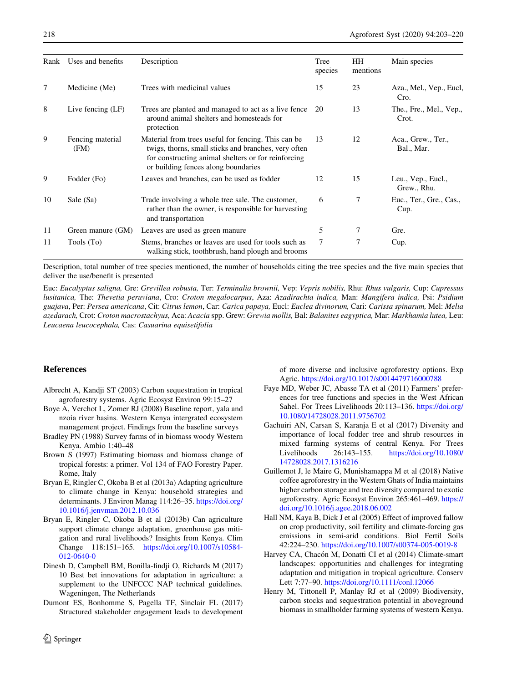<span id="page-15-0"></span>

| Rank | Uses and benefits        | Description                                                                                                                                                                                                | Tree<br>species | HH<br>mentions | Main species                      |
|------|--------------------------|------------------------------------------------------------------------------------------------------------------------------------------------------------------------------------------------------------|-----------------|----------------|-----------------------------------|
| 7    | Medicine (Me)            | Trees with medicinal values                                                                                                                                                                                | 15              | 23             | Aza., Mel., Vep., Eucl,<br>Cro.   |
| 8    | Live fencing $(LF)$      | Trees are planted and managed to act as a live fence<br>around animal shelters and homesteads for<br>protection                                                                                            | 20              | 13             | The., Fre., Mel., Vep.,<br>Crot.  |
| 9    | Fencing material<br>(FM) | Material from trees useful for fencing. This can be.<br>twigs, thorns, small sticks and branches, very often<br>for constructing animal shelters or for reinforcing<br>or building fences along boundaries | 13              | 12             | Aca., Grew., Ter.,<br>Bal., Mar.  |
| 9    | Fodder (Fo)              | Leaves and branches, can be used as fodder                                                                                                                                                                 | 12              | 15             | Leu., Vep., Eucl.,<br>Grew., Rhu. |
| 10   | Sale (Sa)                | Trade involving a whole tree sale. The customer,<br>rather than the owner, is responsible for harvesting<br>and transportation                                                                             | 6               | 7              | Euc., Ter., Gre., Cas.,<br>Cup.   |
| 11   | Green manure (GM)        | Leaves are used as green manure                                                                                                                                                                            | 5               | 7              | Gre.                              |
| 11   | Tools (To)               | Stems, branches or leaves are used for tools such as<br>walking stick, toothbrush, hand plough and brooms                                                                                                  | 7               | 7              | Cup.                              |

Description, total number of tree species mentioned, the number of households citing the tree species and the five main species that deliver the use/benefit is presented

Euc: Eucalyptus saligna, Gre: Grevillea robusta, Ter: Terminalia brownii, Vep: Vepris nobilis, Rhu: Rhus vulgaris, Cup: Cupressus lusitanica, The: Thevetia peruviana, Cro: Croton megalocarpus, Aza: Azadirachta indica, Man: Mangifera indica, Psi: Psidium guajava, Per: Persea americana, Cit: Citrus lemon, Car: Carica papaya, Eucl: Euclea divinorum, Cari: Carissa spinarum, Mel: Melia azedarach, Crot: Croton macrostachyus, Aca: Acacia spp. Grew: Grewia mollis, Bal: Balanites eagyptica, Mar: Markhamia lutea, Leu: Leucaena leucocephala, Cas: Casuarina equisetifolia

# References

- Albrecht A, Kandji ST (2003) Carbon sequestration in tropical agroforestry systems. Agric Ecosyst Environ 99:15–27
- Boye A, Verchot L, Zomer RJ (2008) Baseline report, yala and nzoia river basins. Western Kenya intergrated ecosystem management project. Findings from the baseline surveys
- Bradley PN (1988) Survey farms of in biomass woody Western Kenya. Ambio 1:40–48
- Brown S (1997) Estimating biomass and biomass change of tropical forests: a primer. Vol 134 of FAO Forestry Paper. Rome, Italy
- Bryan E, Ringler C, Okoba B et al (2013a) Adapting agriculture to climate change in Kenya: household strategies and determinants. J Environ Manag 114:26–35. [https://doi.org/](https://doi.org/10.1016/j.jenvman.2012.10.036) [10.1016/j.jenvman.2012.10.036](https://doi.org/10.1016/j.jenvman.2012.10.036)
- Bryan E, Ringler C, Okoba B et al (2013b) Can agriculture support climate change adaptation, greenhouse gas mitigation and rural livelihoods? Insights from Kenya. Clim Change 118:151–165. [https://doi.org/10.1007/s10584-](https://doi.org/10.1007/s10584-012-0640-0) [012-0640-0](https://doi.org/10.1007/s10584-012-0640-0)
- Dinesh D, Campbell BM, Bonilla-findji O, Richards M (2017) 10 Best bet innovations for adaptation in agriculture: a supplement to the UNFCCC NAP technical guidelines. Wageningen, The Netherlands
- Dumont ES, Bonhomme S, Pagella TF, Sinclair FL (2017) Structured stakeholder engagement leads to development

 $\circledcirc$  Springer

of more diverse and inclusive agroforestry options. Exp Agric. <https://doi.org/10.1017/s0014479716000788>

- Faye MD, Weber JC, Abasse TA et al (2011) Farmers' preferences for tree functions and species in the West African Sahel. For Trees Livelihoods 20:113–136. [https://doi.org/](https://doi.org/10.1080/14728028.2011.9756702) [10.1080/14728028.2011.9756702](https://doi.org/10.1080/14728028.2011.9756702)
- Gachuiri AN, Carsan S, Karanja E et al (2017) Diversity and importance of local fodder tree and shrub resources in mixed farming systems of central Kenya. For Trees Livelihoods 26:143–155. [https://doi.org/10.1080/](https://doi.org/10.1080/14728028.2017.1316216) [14728028.2017.1316216](https://doi.org/10.1080/14728028.2017.1316216)
- Guillemot J, le Maire G, Munishamappa M et al (2018) Native coffee agroforestry in the Western Ghats of India maintains higher carbon storage and tree diversity compared to exotic agroforestry. Agric Ecosyst Environ 265:461–469. [https://](https://doi.org/10.1016/j.agee.2018.06.002) [doi.org/10.1016/j.agee.2018.06.002](https://doi.org/10.1016/j.agee.2018.06.002)
- Hall NM, Kaya B, Dick J et al (2005) Effect of improved fallow on crop productivity, soil fertility and climate-forcing gas emissions in semi-arid conditions. Biol Fertil Soils 42:224–230. <https://doi.org/10.1007/s00374-005-0019-8>
- Harvey CA, Chacón M, Donatti CI et al (2014) Climate-smart landscapes: opportunities and challenges for integrating adaptation and mitigation in tropical agriculture. Conserv Lett 7:77–90. <https://doi.org/10.1111/conl.12066>
- Henry M, Tittonell P, Manlay RJ et al (2009) Biodiversity, carbon stocks and sequestration potential in aboveground biomass in smallholder farming systems of western Kenya.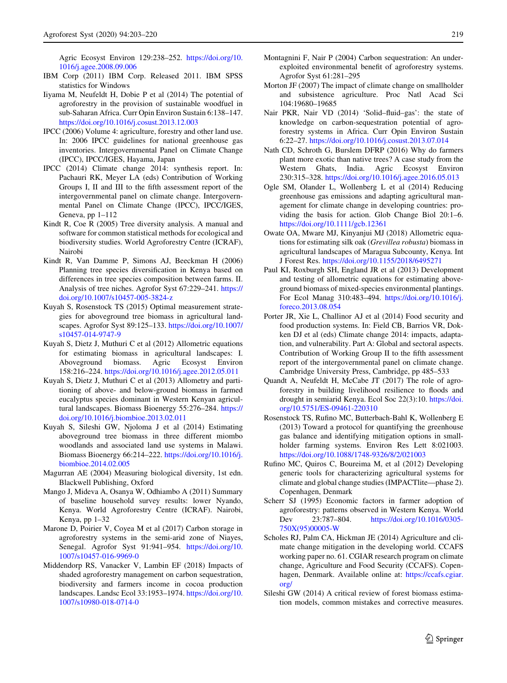<span id="page-16-0"></span>Agric Ecosyst Environ 129:238–252. [https://doi.org/10.](https://doi.org/10.1016/j.agee.2008.09.006) [1016/j.agee.2008.09.006](https://doi.org/10.1016/j.agee.2008.09.006)

- IBM Corp (2011) IBM Corp. Released 2011. IBM SPSS statistics for Windows
- Iiyama M, Neufeldt H, Dobie P et al (2014) The potential of agroforestry in the provision of sustainable woodfuel in sub-Saharan Africa. Curr Opin Environ Sustain 6:138–147. <https://doi.org/10.1016/j.cosust.2013.12.003>
- IPCC (2006) Volume 4: agriculture, forestry and other land use. In: 2006 IPCC guidelines for national greenhouse gas inventories. Intergovernmental Panel on Climate Change (IPCC), IPCC/IGES, Hayama, Japan
- IPCC (2014) Climate change 2014: synthesis report. In: Pachauri RK, Meyer LA (eds) Contribution of Working Groups I, II and III to the fifth assessment report of the intergovernmental panel on climate change. Intergovernmental Panel on Climate Change (IPCC), IPCC/IGES, Geneva, pp 1–112
- Kindt R, Coe R (2005) Tree diversity analysis. A manual and software for common statistical methods for ecological and biodiversity studies. World Agroforestry Centre (ICRAF), Nairobi
- Kindt R, Van Damme P, Simons AJ, Beeckman H (2006) Planning tree species diversification in Kenya based on differences in tree species composition between farms. II. Analysis of tree niches. Agrofor Syst 67:229–241. [https://](https://doi.org/10.1007/s10457-005-3824-z) [doi.org/10.1007/s10457-005-3824-z](https://doi.org/10.1007/s10457-005-3824-z)
- Kuyah S, Rosenstock TS (2015) Optimal measurement strategies for aboveground tree biomass in agricultural landscapes. Agrofor Syst 89:125–133. [https://doi.org/10.1007/](https://doi.org/10.1007/s10457-014-9747-9) [s10457-014-9747-9](https://doi.org/10.1007/s10457-014-9747-9)
- Kuyah S, Dietz J, Muthuri C et al (2012) Allometric equations for estimating biomass in agricultural landscapes: I. Aboveground biomass. Agric Ecosyst Environ 158:216–224. <https://doi.org/10.1016/j.agee.2012.05.011>
- Kuyah S, Dietz J, Muthuri C et al (2013) Allometry and partitioning of above- and below-ground biomass in farmed eucalyptus species dominant in Western Kenyan agricultural landscapes. Biomass Bioenergy 55:276–284. [https://](https://doi.org/10.1016/j.biombioe.2013.02.011) [doi.org/10.1016/j.biombioe.2013.02.011](https://doi.org/10.1016/j.biombioe.2013.02.011)
- Kuyah S, Sileshi GW, Njoloma J et al (2014) Estimating aboveground tree biomass in three different miombo woodlands and associated land use systems in Malawi. Biomass Bioenergy 66:214–222. [https://doi.org/10.1016/j.](https://doi.org/10.1016/j.biombioe.2014.02.005) [biombioe.2014.02.005](https://doi.org/10.1016/j.biombioe.2014.02.005)
- Magurran AE (2004) Measuring biological diversity, 1st edn. Blackwell Publishing, Oxford
- Mango J, Mideva A, Osanya W, Odhiambo A (2011) Summary of baseline household survey results: lower Nyando, Kenya. World Agroforestry Centre (ICRAF). Nairobi, Kenya, pp 1–32
- Marone D, Poirier V, Coyea M et al (2017) Carbon storage in agroforestry systems in the semi-arid zone of Niayes, Senegal. Agrofor Syst 91:941–954. [https://doi.org/10.](https://doi.org/10.1007/s10457-016-9969-0) [1007/s10457-016-9969-0](https://doi.org/10.1007/s10457-016-9969-0)
- Middendorp RS, Vanacker V, Lambin EF (2018) Impacts of shaded agroforestry management on carbon sequestration, biodiversity and farmers income in cocoa production landscapes. Landsc Ecol 33:1953–1974. [https://doi.org/10.](https://doi.org/10.1007/s10980-018-0714-0) [1007/s10980-018-0714-0](https://doi.org/10.1007/s10980-018-0714-0)
- Montagnini F, Nair P (2004) Carbon sequestration: An underexploited environmental benefit of agroforestry systems. Agrofor Syst 61:281–295
- Morton JF (2007) The impact of climate change on smallholder and subsistence agriculture. Proc Natl Acad Sci 104:19680–19685
- Nair PKR, Nair VD (2014) 'Solid–fluid–gas': the state of knowledge on carbon-sequestration potential of agroforestry systems in Africa. Curr Opin Environ Sustain 6:22–27. <https://doi.org/10.1016/j.cosust.2013.07.014>
- Nath CD, Schroth G, Burslem DFRP (2016) Why do farmers plant more exotic than native trees? A case study from the Western Ghats, India. Agric Ecosyst Environ 230:315–328. <https://doi.org/10.1016/j.agee.2016.05.013>
- Ogle SM, Olander L, Wollenberg L et al (2014) Reducing greenhouse gas emissions and adapting agricultural management for climate change in developing countries: providing the basis for action. Glob Change Biol 20:1–6. <https://doi.org/10.1111/gcb.12361>
- Owate OA, Mware MJ, Kinyanjui MJ (2018) Allometric equations for estimating silk oak (Grevillea robusta) biomass in agricultural landscapes of Maragua Subcounty, Kenya. Int J Forest Res. <https://doi.org/10.1155/2018/6495271>
- Paul KI, Roxburgh SH, England JR et al (2013) Development and testing of allometric equations for estimating aboveground biomass of mixed-species environmental plantings. For Ecol Manag 310:483–494. [https://doi.org/10.1016/j.](https://doi.org/10.1016/j.foreco.2013.08.054) [foreco.2013.08.054](https://doi.org/10.1016/j.foreco.2013.08.054)
- Porter JR, Xie L, Challinor AJ et al (2014) Food security and food production systems. In: Field CB, Barrios VR, Dokken DJ et al (eds) Climate change 2014: impacts, adaptation, and vulnerability. Part A: Global and sectoral aspects. Contribution of Working Group II to the fifth assessment report of the intergovernmental panel on climate change. Cambridge University Press, Cambridge, pp 485–533
- Quandt A, Neufeldt H, McCabe JT (2017) The role of agroforestry in building livelihood resilience to floods and drought in semiarid Kenya. Ecol Soc 22(3):10. [https://doi.](https://doi.org/10.5751/ES-09461-220310) [org/10.5751/ES-09461-220310](https://doi.org/10.5751/ES-09461-220310)
- Rosenstock TS, Rufino MC, Butterbach-Bahl K, Wollenberg E (2013) Toward a protocol for quantifying the greenhouse gas balance and identifying mitigation options in smallholder farming systems. Environ Res Lett 8:021003. <https://doi.org/10.1088/1748-9326/8/2/021003>
- Rufino MC, Quiros C, Boureima M, et al (2012) Developing generic tools for characterizing agricultural systems for climate and global change studies (IMPACTlite—phase 2). Copenhagen, Denmark
- Scherr SJ (1995) Economic factors in farmer adoption of agroforestry: patterns observed in Western Kenya. World Dev 23:787–804. [https://doi.org/10.1016/0305-](https://doi.org/10.1016/0305-750X(95)00005-W) [750X\(95\)00005-W](https://doi.org/10.1016/0305-750X(95)00005-W)
- Scholes RJ, Palm CA, Hickman JE (2014) Agriculture and climate change mitigation in the developing world. CCAFS working paper no. 61. CGIAR research program on climate change, Agriculture and Food Security (CCAFS). Copenhagen, Denmark. Available online at: [https://ccafs.cgiar.](https://ccafs.cgiar.org/) [org/](https://ccafs.cgiar.org/)
- Sileshi GW (2014) A critical review of forest biomass estimation models, common mistakes and corrective measures.